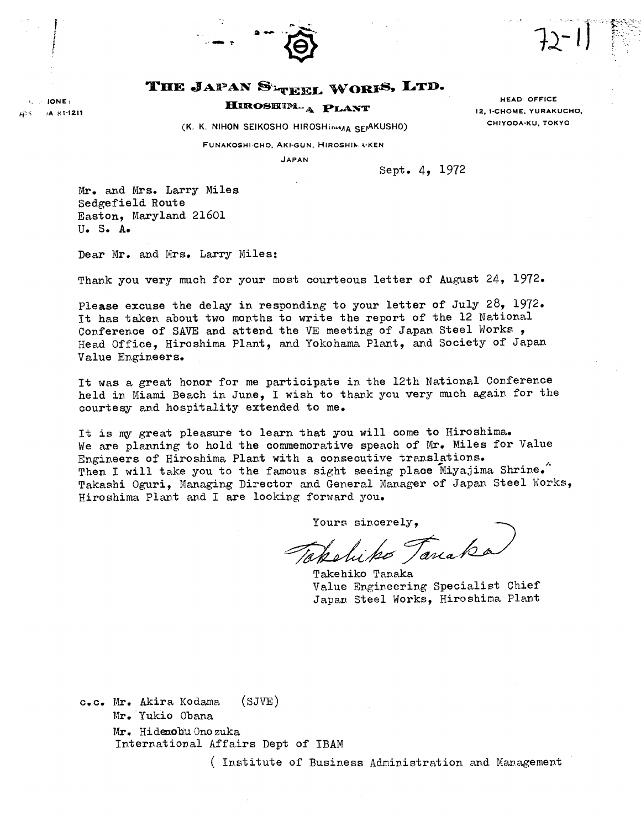

## THE JAPAN SETTER WORFS, LTD.

 $IONF$ (A 81-1211

# HIROSHIM. A PLANT

(K. K. NIHON SEIKOSHO HIROSHIMAA SEIAKUSHO)

HEAD OFFICE 12. 1-CHOME, YURAKUCHO, CHIYODA-KU, TOKYO

FUNAKOSHI-CHO, AKI-GUN, HIROSHIMA-KEN

**JAPAN** 

Sept. 4, 1972

Mr. and Mrs. Larry Miles Sedgefield Route Easton, Maryland 21601  $II - S - A$ 

Dear Mr. and Mrs. Larry Miles:

Thank you very much for your most courteous letter of August 24, 1972.

Please excuse the delay in responding to your letter of July 28, 1972. It has taken about two months to write the report of the 12 National Conference of SAVE and attend the VE meeting of Japan Steel Works, Head Office, Hiroshima Plant, and Yokohama Plant, and Society of Japan Value Engineers.

It was a great honor for me participate in the 12th National Conference held in Miami Beach in June, I wish to thank you very much again for the courtesy and hospitality extended to me.

It is my great pleasure to learn that you will come to Hiroshima. We are planning to hold the commemorative speach of Mr. Miles for Value Engineers of Hiroshima Plant with a consecutive translations. Then I will take you to the famous sight seeing place Miyajima Shrine. Takashi Oguri, Managing Director and General Manager of Japan Steel Works, Hiroshima Plant and I are looking forward you.

Yours sincerely.

Takeliko Tanaka

Takehiko Tanaka Value Engineering Specialist Chief Japan Steel Works, Hiroshima Plant

 $(SJVE)$ c.c. Mr. Akira Kodama Mr. Yukio Obana Mr. Hidenobu Onozuka International Affairs Dept of IBAM

(Institute of Business Administration and Management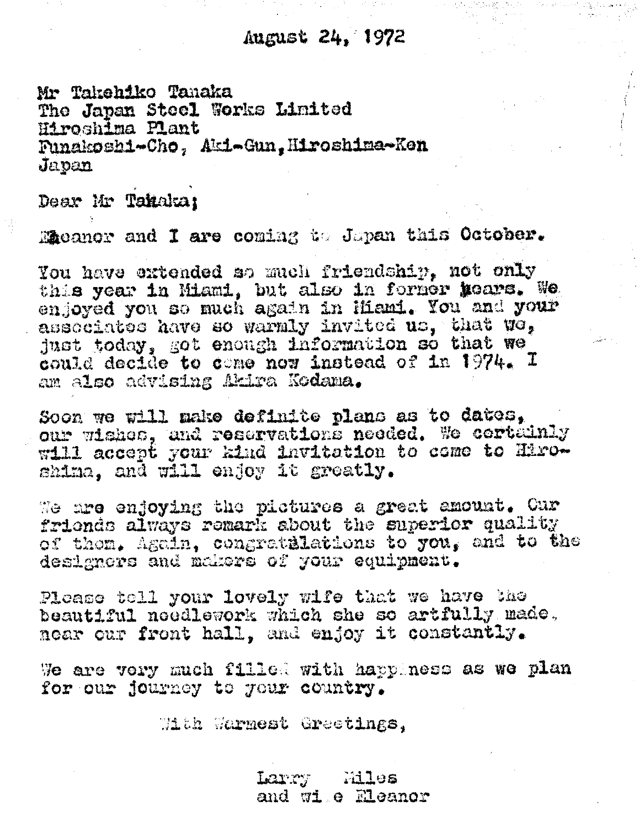Mr Takahiko Tanaka The Japan Steel Works Limited Wiroshima Plant Funakoshi-Cho, Aki-Gun, Hiroshima-Ken Javan

Dear Mr Takaka:

Macanor and I are coming to Japan this October.

You have extended so much friendship. not only this year in Miami, but also in fornor hears. We enjoyed you so much again in Hiami. You and your associates have so warmly invited us, that we, just today, got enough information so that we could decide to come now instead of in 1974. I am also advising Akira Kodama.

Soon we will make definite plans as to dates. our wishes, and reservations needed. We cortainly will accept your kind invitation to come to Hiroshima, and will endoy it greatly.

We are enjoying the pictures a great amount. Cur friends always remark about the superior quality of them, Again, congratulations to you, and to the designers and makers of your equipment.

Please toll your lovely wife that we have the beautiful needlework which she so artfully made. near our front hall. and enjoy it constantly.

We are very much filled with happiness as we plan for our journey to your country.

With Warmest Greetings.

Larry Miles and wi e Eleanor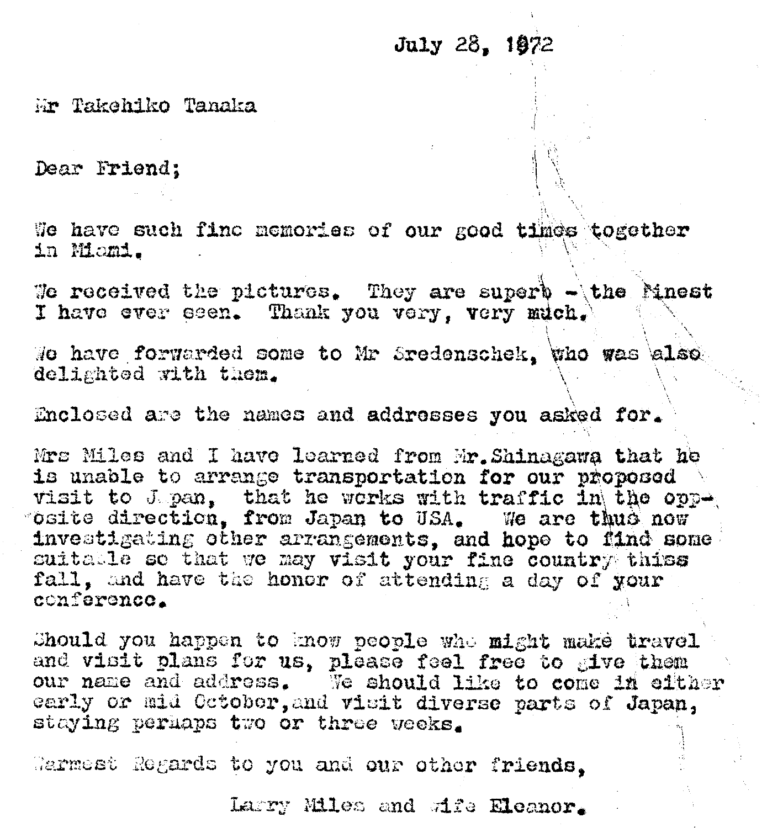# July 28. 1072

Mr Takehiko Tanaka

Dear Friend:

We have such fine memories of our good times together in Momi.

We received the pictures. They are superb - the Minest I have ever seen. Thank you very, very much.

We have forwarded some to Mr Sredenschek. who was also delighted with them.

Enclosed are the names and addresses you asked for.

Mrs Miles and I have learned from Mr. Shinagawa that he is unable to arrange transportation for our proposed visit to J pan, that he works with traffic in the oppinvestigating other arrangements, and hope to find some suitable so that we may visit your fine country thiss fall, and have the honor of attending a day of your conference.

Should you happen to know people who might make travel and visit plans for us, please feel free to give them our name and address. We should like to come in either early or mid October, and visit diverse parts of Japan. staying perhaps two or three weeks.

Marmest Regards to you and our other friends.

Larry Miles and Afe Eleanor.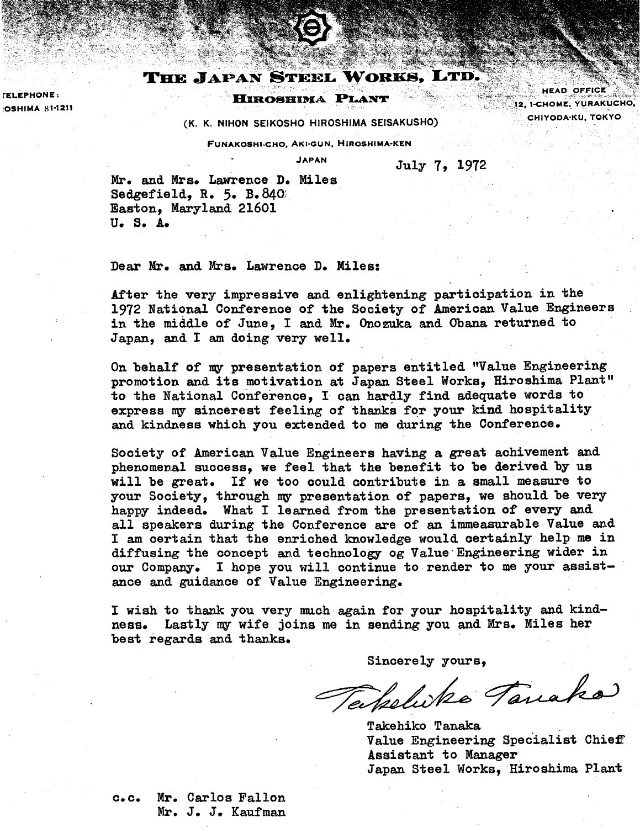### THE JAPAN STEEL WORKS, LTD.

#### **HIROSHIMA PLANT**

**HEAD OFFICE** 12, I-CHOME, YURAKUCHO, CHIYODA-KU, TOKYO

**(K. K. NlHON SEIKOSHO HIROSHIMA SEISAKUSHO)** 

**FUNAKOSHI.CHO. AKI-GUN. HIROSHIMA-KEN** 

**JAPAN** July 7, 1972

Mr. and Mrs. Lawrence **D.** Miles Sedgefield, **R.** 5. B. **840:**  Easton, Maryland 21601 **Uo So A.** 

**FELEPHONE:** 

**OSHIMA 81-1211** 

Dear **Mr.** and Mrs. Lawrence **D.** Miles:

After the very impressive and enlightening participation in the 1972 National Conference of the Society of American Value Engineers in the middle of June, I and Mr. Onozuka and Obana returned to Japan, and I **am** doing very well,

On behalf of my presentation of papers entitled "Value Engineering promotion and its motivation at Japan Steel Works, Hiroshima Plant" to the National Conference, I can hardly find adequate words to express ny sincerest feeling of thanks for your kind hospitality and kindness which you extended to me during the Conference.

Society of American Value Engineers having a great achivement and phenomenal success, we feel that the benefit to be derived by us will be great. If we too oould contribute in a small measure to your Society, through **my** presentation of papers, we should be very happy indeed. What I learned from the presentation of every and all speakers during the Conference are of an immeasurable Value and I **am** certain that the enriched knowledge would certainly help me in diffusing the concept and technology og Value Engineering wider in our Company, I hope you will continue to render to me your assistance and guidance of Value Engineering.

I wish to thank you very much again for your hospitality and kindness. Lastly my wife joins me in sending you and Mrs. Miles her best regards and thanks,

Sincerely yours,

Takelike Tanako

Takehiko Tanaka Value Engineering Specialist Chieff Assistant to Hanager Japan Steel Works, Hiroshima Plant

c,c. Mr. Carlos Fallon Mr. J. J. Kaufman